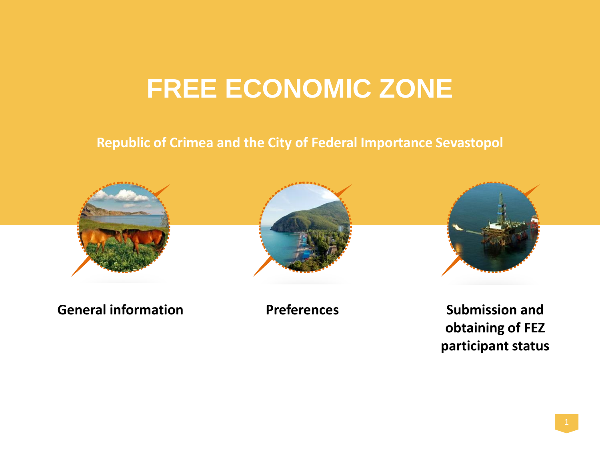## **FREE ECONOMIC ZONE**

#### **Republic of Crimea and the City of Federal Importance Sevastopol**



**General information Preferences**





**Submission and obtaining of FEZ participant status**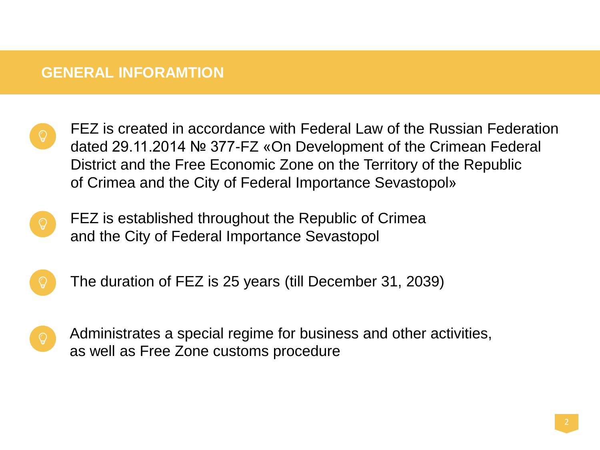#### **GENERAL INFORAMTION**

- FEZ is created in accordance with Federal Law of the Russian Federation dated 29.11.2014 № 377-FZ «On Development of the Crimean Federal District and the Free Economic Zone on the Territory of the Republic of Crimea and the City of Federal Importance Sevastopol»
- FEZ is established throughout the Republic of Crimea and the City of Federal Importance Sevastopol
- 
- The duration of FEZ is 25 years (till December 31, 2039)



Administrates a special regime for business and other activities, as well as Free Zone customs procedure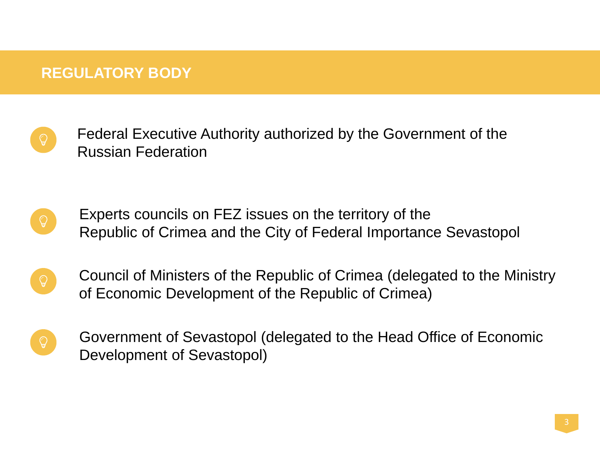### **REGULATORY BODY**

- Federal Executive Authority authorized by the Government of the Russian Federation
- Experts councils on FEZ issues on the territory of the Republic of Crimea and the City of Federal Importance Sevastopol
- Council of Ministers of the Republic of Crimea (delegated to the Ministry of Economic Development of the Republic of Crimea)
- Government of Sevastopol (delegated to the Head Office of Economic Development of Sevastopol)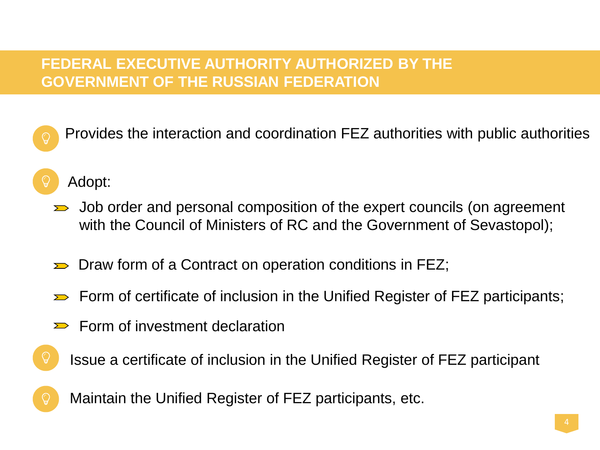## **FEDERAL EXECUTIVE AUTHORITY AUTHORIZED BY THE GOVERNMENT OF THE RUSSIAN FEDERATION**

- Provides the interaction and coordination FEZ authorities with public authorities
- Adopt:

O

- $\Rightarrow$  Job order and personal composition of the expert councils (on agreement with the Council of Ministers of RC and the Government of Sevastopol);
- Draw form of a Contract on operation conditions in FEZ;  $\sum$
- $\Rightarrow$  Form of certificate of inclusion in the Unified Register of FEZ participants;
- Form of investment declaration  $\sum$ 
	- Issue a certificate of inclusion in the Unified Register of FEZ participant

Maintain the Unified Register of FEZ participants, etc.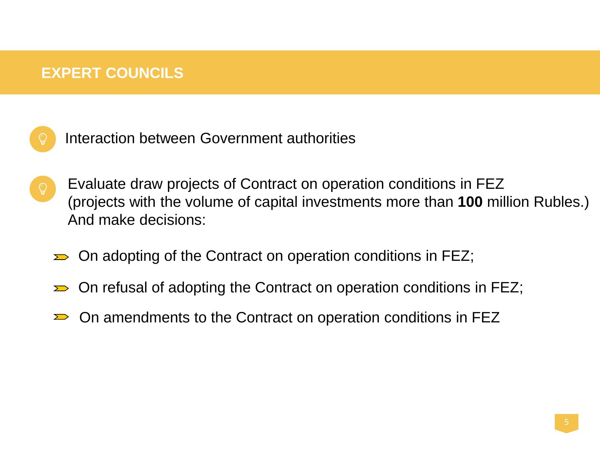#### **EXPERT COUNCILS**



Interaction between Government authorities

- Evaluate draw projects of Contract on operation conditions in FEZ (projects with the volume of capital investments more than **100** million Rubles.) And make decisions:
	- $\Rightarrow$  On adopting of the Contract on operation conditions in FEZ;
	- On refusal of adopting the Contract on operation conditions in FEZ;  $\sum$
	- On amendments to the Contract on operation conditions in FEZ $\sum$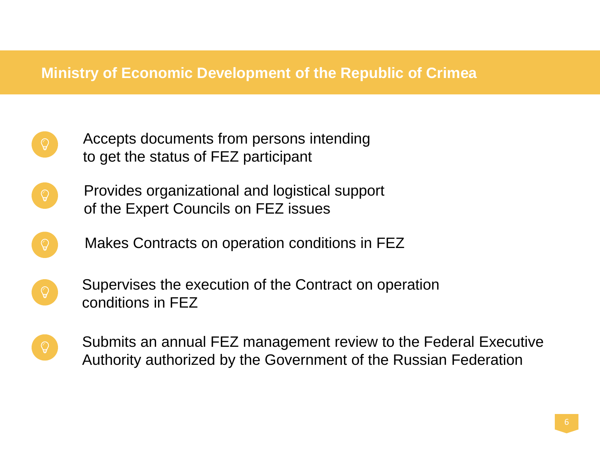#### **Ministry of Economic Development of the Republic of Crimea**

- Accepts documents from persons intending to get the status of FEZ participant
- Provides organizational and logistical support of the Expert Councils on FEZ issues
	- Makes Contracts on operation conditions in FEZ
- Supervises the execution of the Contract on operation conditions in FEZ
- Submits an annual FEZ management review to the Federal Executive Authority authorized by the Government of the Russian Federation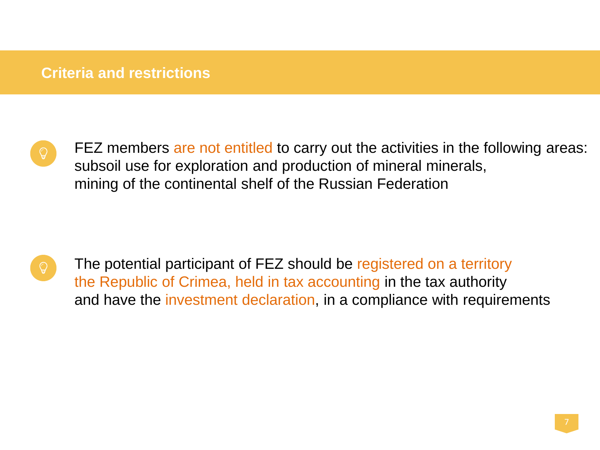#### **Criteria and restrictions**



FEZ members are not entitled to carry out the activities in the following areas: subsoil use for exploration and production of mineral minerals, mining of the continental shelf of the Russian Federation

The potential participant of FEZ should be registered on a territory the Republic of Crimea, held in tax accounting in the tax authority and have the investment declaration, in a compliance with requirements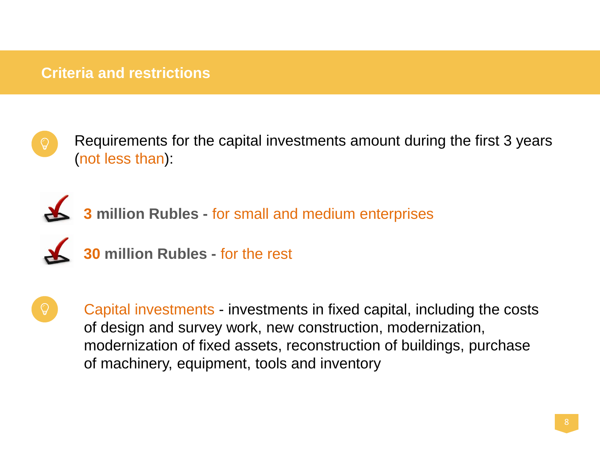#### **Criteria and restrictions**



Requirements for the capital investments amount during the first 3 years (not less than):



**3 million Rubles -** for small and medium enterprises



**30 million Rubles -** for the rest



Capital investments - investments in fixed capital, including the costs of design and survey work, new construction, modernization, modernization of fixed assets, reconstruction of buildings, purchase of machinery, equipment, tools and inventory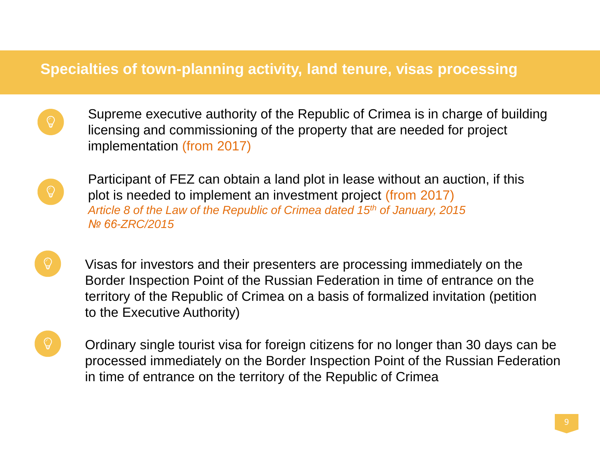#### **Specialties of town-planning activity, land tenure, visas processing**

Supreme executive authority of the Republic of Crimea is in charge of building licensing and commissioning of the property that are needed for project implementation (from 2017)



Participant of FEZ can obtain a land plot in lease without an auction, if this plot is needed to implement an investment project (from 2017) *Article 8 of the Law of the Republic of Crimea dated 15th of January, 2015 № 66-ZRC/2015* 

Visas for investors and their presenters are processing immediately on the Border Inspection Point of the Russian Federation in time of entrance on the territory of the Republic of Crimea on a basis of formalized invitation (petition to the Executive Authority)

Ordinary single tourist visa for foreign citizens for no longer than 30 days can be processed immediately on the Border Inspection Point of the Russian Federation in time of entrance on the territory of the Republic of Crimea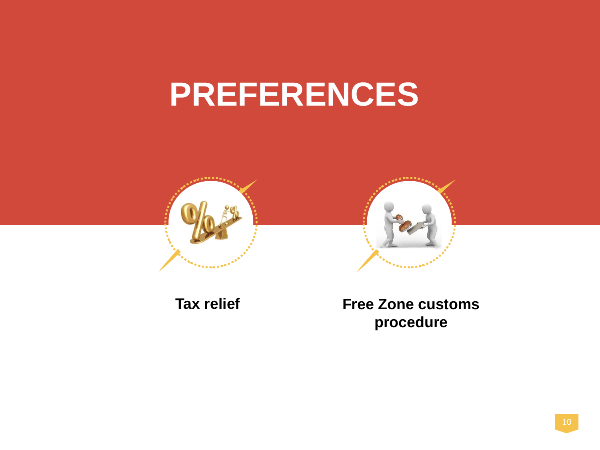# **PREFERENCES**





**Tax relief Free Zone customs procedure**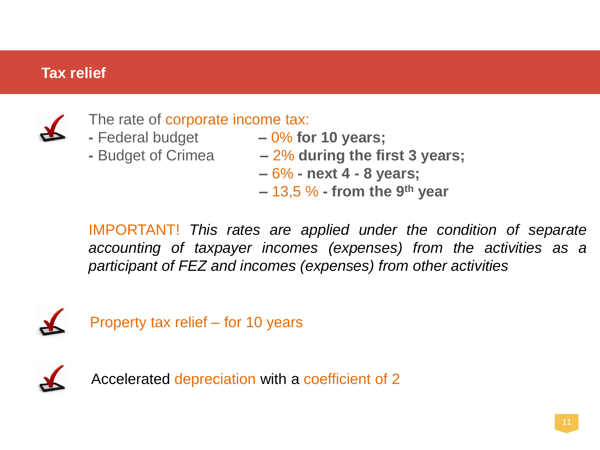## **Tax relief**



The rate of corporate income tax:

- 
- 
- **-** Federal budget **–** 0% **for 10 years;**
- **-** Budget of Crimea **–** 2% **during the first 3 years;** 
	- **–** 6% **- next 4 - 8 years;**
	- **–** 13,5 % **- from the 9th year**

IMPORTANT! *This rates are applied under the condition of separate accounting of taxpayer incomes (expenses) from the activities as a participant of FEZ and incomes (expenses) from other activities*



Property tax relief – for 10 years



Accelerated depreciation with a coefficient of 2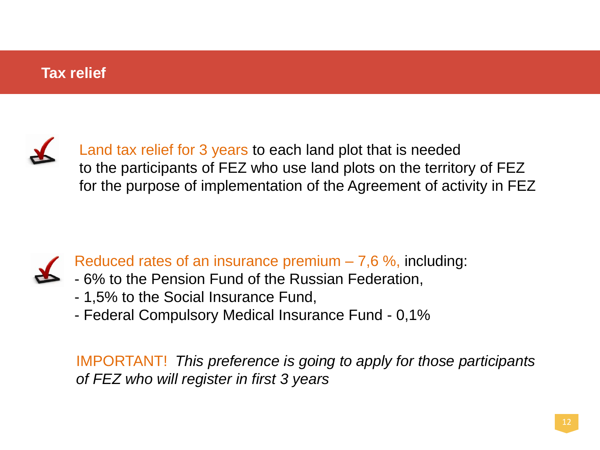#### **Tax relief**



Land tax relief for 3 years to each land plot that is needed to the participants of FEZ who use land plots on the territory of FEZ for the purpose of implementation of the Agreement of activity in FEZ



Reduced rates of an insurance premium  $-7,6\%$ , including:

- 6% to the Pension Fund of the Russian Federation,
- 1,5% to the Social Insurance Fund,
- Federal Compulsory Medical Insurance Fund 0,1%

IMPORTANT! *This preference is going to apply for those participants of FEZ who will register in first 3 years*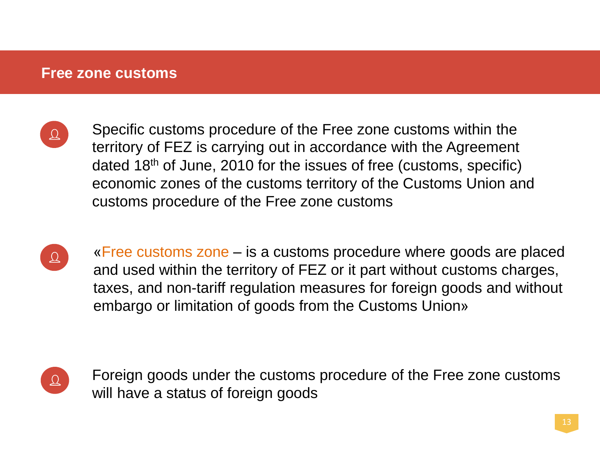#### **Free zone customs**



Specific customs procedure of the Free zone customs within the territory of FEZ is carrying out in accordance with the Agreement dated 18th of June, 2010 for the issues of free (customs, specific) economic zones of the customs territory of the Customs Union and customs procedure of the Free zone customs



«Free customs zone – is a customs procedure where goods are placed and used within the territory of FEZ or it part without customs charges, taxes, and non-tariff regulation measures for foreign goods and without embargo or limitation of goods from the Customs Union»



Foreign goods under the customs procedure of the Free zone customs will have a status of foreign goods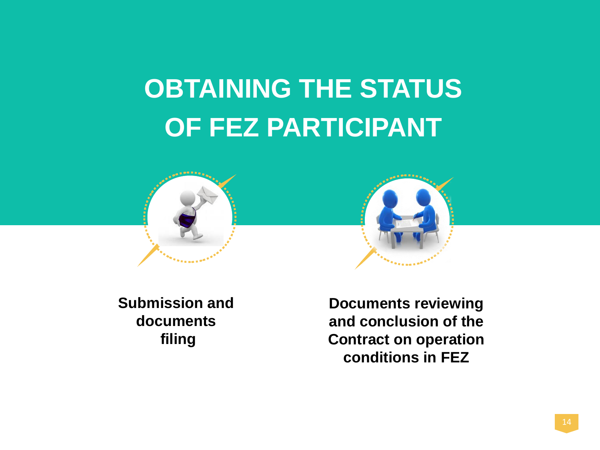## **OBTAINING THE STATUS OF FEZ PARTICIPANT**





**Submission and documents filing**

**Documents reviewing and conclusion of the Contract on operation conditions in FEZ**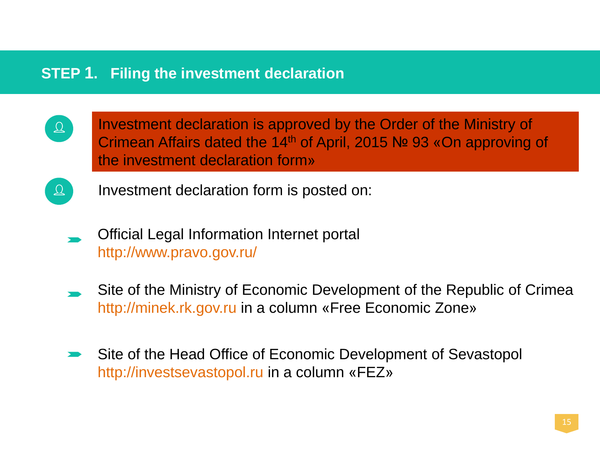#### **STEP 1. Filing the investment declaration**

- Investment declaration is approved by the Order of the Ministry of  $\Delta$ Crimean Affairs dated the 14th of April, 2015 № 93 «On approving of the investment declaration form»
- Investment declaration form is posted on:  $\Delta$ 
	- Official Legal Information Internet portal http://www.pravo.gov.ru/
	- Site of the Ministry of Economic Development of the Republic of Crimea http://minek.rk.gov.ru in a column «Free Economic Zone»
	- Site of the Head Office of Economic Development of Sevastopol http://investsevastopol.ru in a column «FEZ»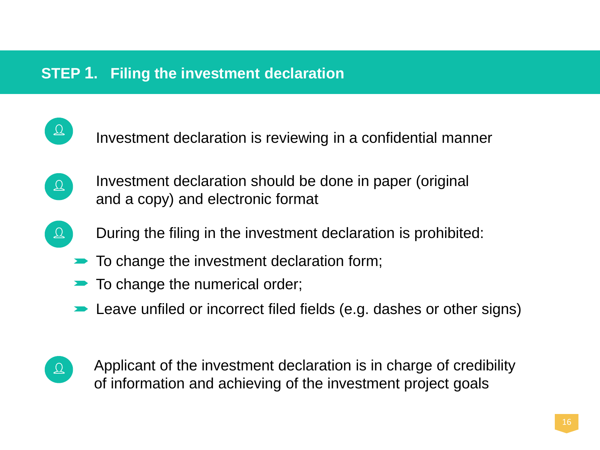#### **STEP 1. Filing the investment declaration**

Investment declaration is reviewing in a confidential manner

- Investment declaration should be done in paper (original  $\mathcal{Q}$ and a copy) and electronic format
- During the filing in the investment declaration is prohibited:  $\Delta$ 
	- $\blacktriangleright$  To change the investment declaration form;
	- $\blacktriangleright$  To change the numerical order;
	- **EXECUTE:** Leave unfiled or incorrect filed fields (e.g. dashes or other signs)
- $\Delta$

 $\mathfrak{Q}$ 

Applicant of the investment declaration is in charge of credibility of information and achieving of the investment project goals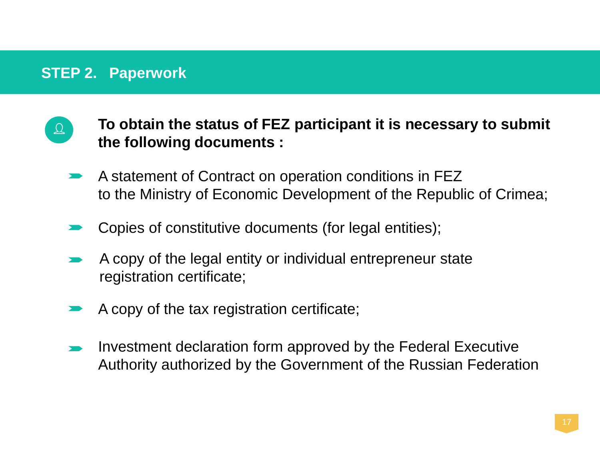#### **STEP 2. Paperwork**

- **To obtain the status of FEZ participant it is necessary to submit**   $\mathfrak{Q}$ **the following documents :**
	- A statement of Contract on operation conditions in FEZ to the Ministry of Economic Development of the Republic of Crimea;
	- Copies of constitutive documents (for legal entities);
	- A copy of the legal entity or individual entrepreneur state registration certificate;
	- A copy of the tax registration certificate;
	- Investment declaration form approved by the Federal Executive Authority authorized by the Government of the Russian Federation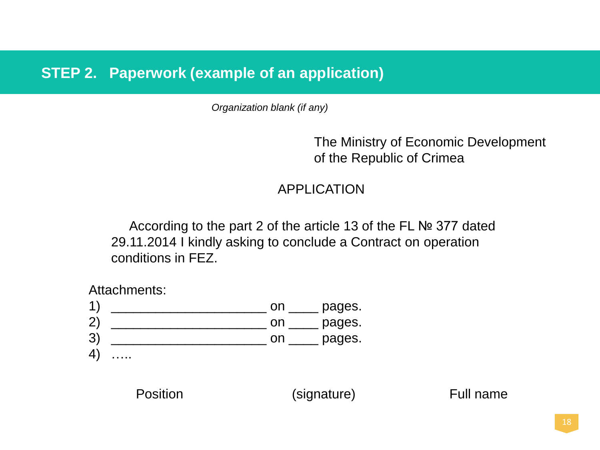#### **STEP 2. Paperwork (example of an application)**

*Organization blank (if any)*

The Ministry of Economic Development of the Republic of Crimea

#### APPLICATION

According to the part 2 of the article 13 of the FL № 377 dated 29.11.2014 I kindly asking to conclude a Contract on operation conditions in FEZ.

Attachments:



Position (signature) Full name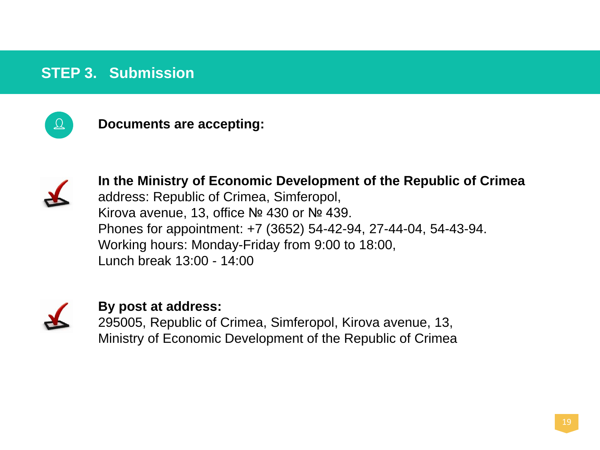### **STEP 3. Submission**



**Documents are accepting:**



**In the Ministry of Economic Development of the Republic of Crimea** address: Republic of Crimea, Simferopol, Kirova avenue, 13, office № 430 or № 439. Phones for appointment: +7 (3652) 54-42-94, 27-44-04, 54-43-94. Working hours: Monday-Friday from 9:00 to 18:00, Lunch break 13:00 - 14:00



#### **By post at address:**

295005, Republic of Crimea, Simferopol, Kirova avenue, 13, Ministry of Economic Development of the Republic of Crimea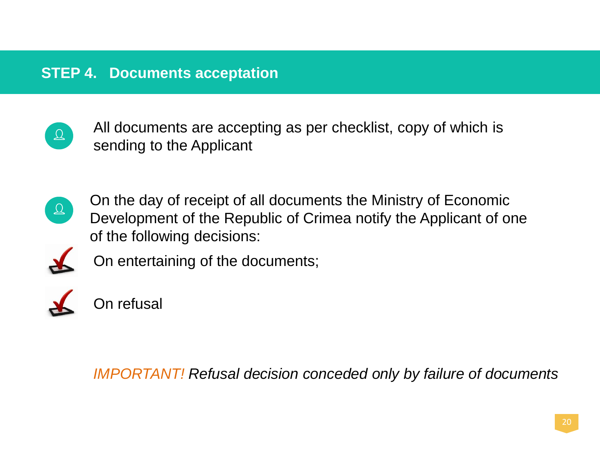## **STEP 4. Documents acceptation**



All documents are accepting as per checklist, copy of which is sending to the Applicant



On the day of receipt of all documents the Ministry of Economic Development of the Republic of Crimea notify the Applicant of one of the following decisions:



On entertaining of the documents;



On refusal

*IMPORTANT! Refusal decision conceded only by failure of documents*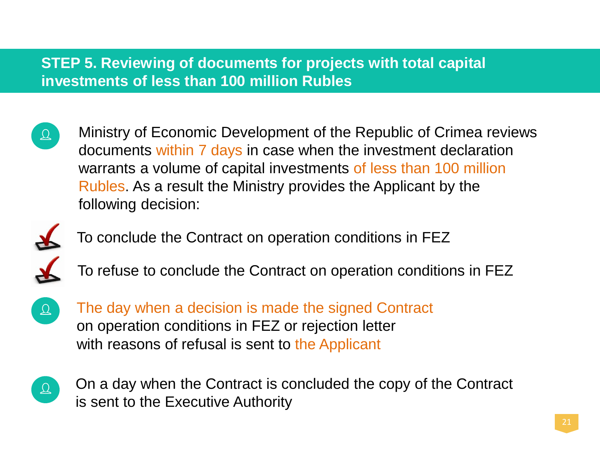## **STEP 5. Reviewing of documents for projects with total capital investments of less than 100 million Rubles**

Ministry of Economic Development of the Republic of Crimea reviews  $\Delta$ documents within 7 days in case when the investment declaration warrants a volume of capital investments of less than 100 million Rubles. As a result the Ministry provides the Applicant by the following decision:



- To conclude the Contract on operation conditions in FEZ
- To refuse to conclude the Contract on operation conditions in FEZ



The day when a decision is made the signed Contract on operation conditions in FEZ or rejection letter with reasons of refusal is sent to the Applicant



On a day when the Contract is concluded the copy of the Contract is sent to the Executive Authority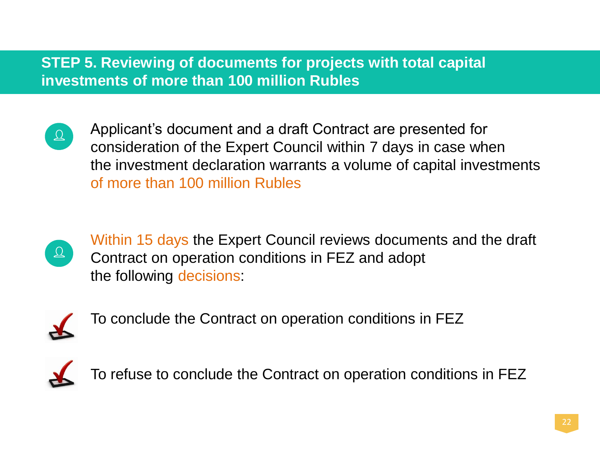## **STEP 5. Reviewing of documents for projects with total capital investments of more than 100 million Rubles**



Applicant's document and a draft Contract are presented for consideration of the Expert Council within 7 days in case when the investment declaration warrants a volume of capital investments of more than 100 million Rubles



Within 15 days the Expert Council reviews documents and the draft Contract on operation conditions in FEZ and adopt the following decisions:



To conclude the Contract on operation conditions in FEZ



To refuse to conclude the Contract on operation conditions in FEZ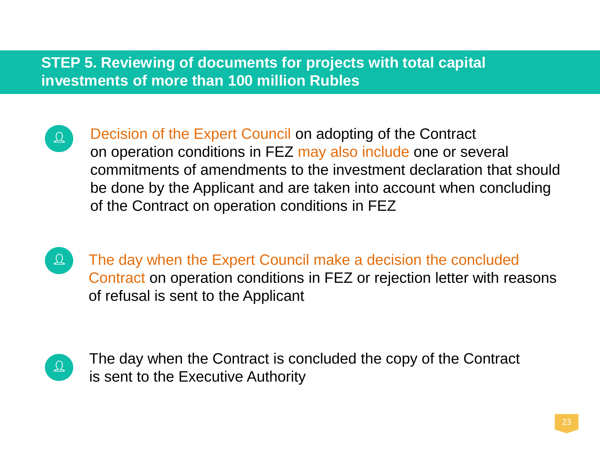### **STEP 5. Reviewing of documents for projects with total capital investments of more than 100 million Rubles**

- $\Delta$
- Decision of the Expert Council on adopting of the Contract on operation conditions in FEZ may also include one or several commitments of amendments to the investment declaration that should be done by the Applicant and are taken into account when concluding of the Contract on operation conditions in FEZ
- $\Delta$

The day when the Expert Council make a decision the concluded Contract on operation conditions in FEZ or rejection letter with reasons of refusal is sent to the Applicant



The day when the Contract is concluded the copy of the Contract is sent to the Executive Authority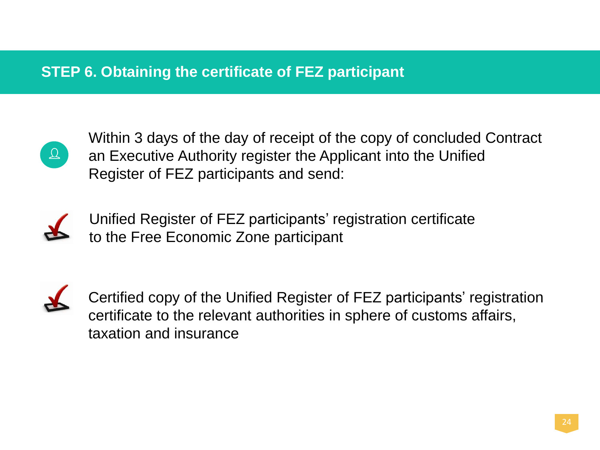## **STEP 6. Obtaining the certificate of FEZ participant**



Within 3 days of the day of receipt of the copy of concluded Contract an Executive Authority register the Applicant into the Unified Register of FEZ participants and send:



Unified Register of FEZ participants' registration certificate to the Free Economic Zone participant



Certified copy of the Unified Register of FEZ participants' registration certificate to the relevant authorities in sphere of customs affairs, taxation and insurance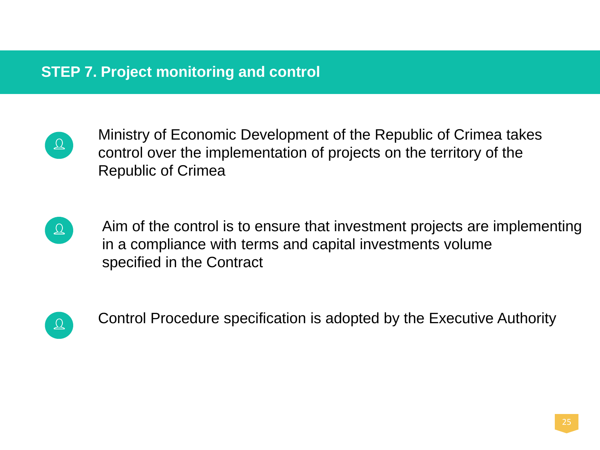## **STEP 7. Project monitoring and control**



Ministry of Economic Development of the Republic of Crimea takes control over the implementation of projects on the territory of the Republic of Crimea



Aim of the control is to ensure that investment projects are implementing in a compliance with terms and capital investments volume specified in the Contract



Control Procedure specification is adopted by the Executive Authority